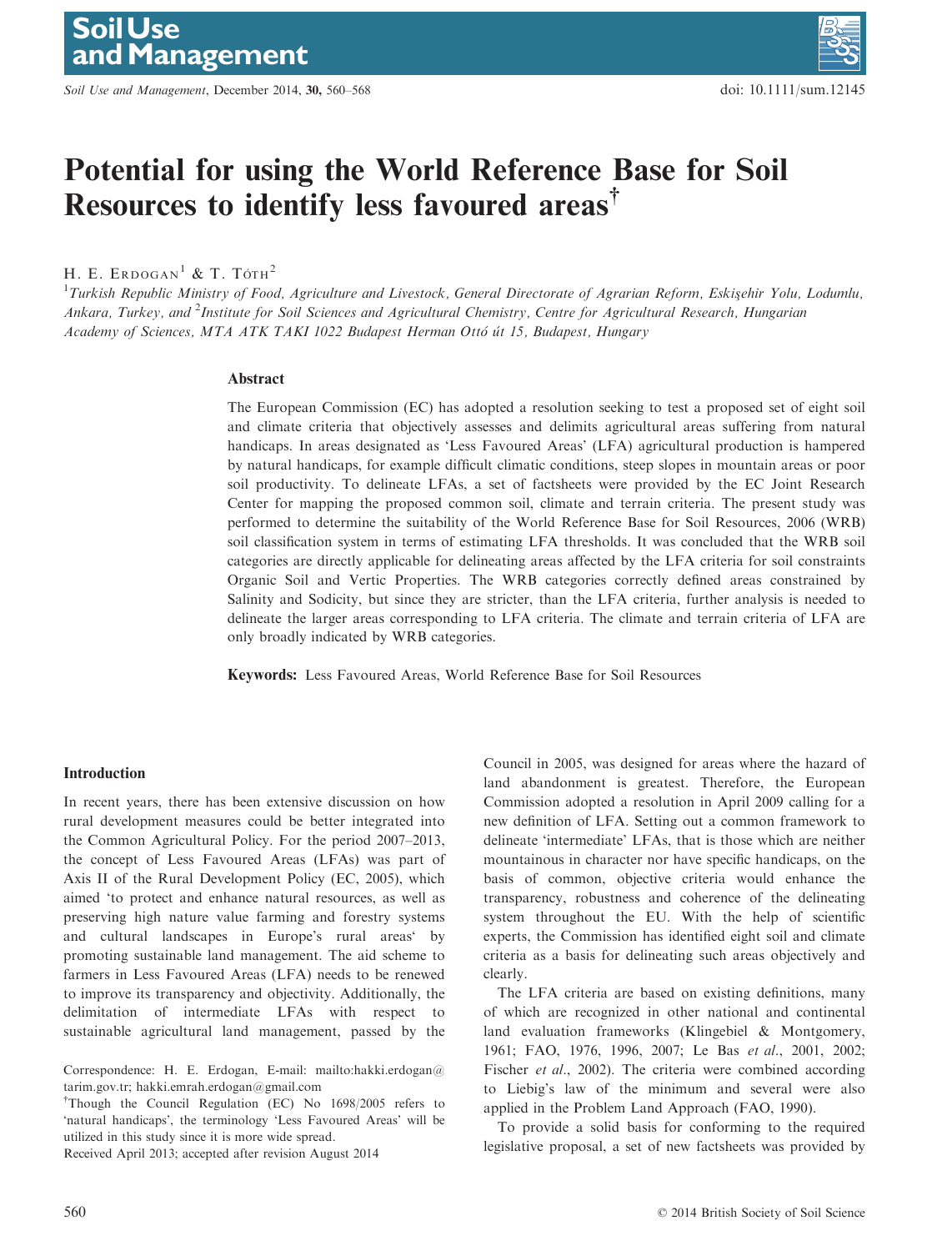Soil Use and Management, December 2014, 30, 560–568 doi: 10.1111/sum.12145



# Potential for using the World Reference Base for Soil Resources to identify less favoured areas†

H. E. ERDOGAN<sup>1</sup> & T. TÓTH<sup>2</sup>

<sup>1</sup>Turkish Republic Ministry of Food, Agriculture and Livestock, General Directorate of Agrarian Reform, Eskişehir Yolu, Lodumlu, Ankara, Turkey, and <sup>2</sup>Institute for Soil Sciences and Agricultural Chemistry, Centre for Agricultural Research, Hungarian Academy of Sciences, MTA ATK TAKI 1022 Budapest Herman Ottó út 15, Budapest, Hungary

#### Abstract

The European Commission (EC) has adopted a resolution seeking to test a proposed set of eight soil and climate criteria that objectively assesses and delimits agricultural areas suffering from natural handicaps. In areas designated as 'Less Favoured Areas' (LFA) agricultural production is hampered by natural handicaps, for example difficult climatic conditions, steep slopes in mountain areas or poor soil productivity. To delineate LFAs, a set of factsheets were provided by the EC Joint Research Center for mapping the proposed common soil, climate and terrain criteria. The present study was performed to determine the suitability of the World Reference Base for Soil Resources, 2006 (WRB) soil classification system in terms of estimating LFA thresholds. It was concluded that the WRB soil categories are directly applicable for delineating areas affected by the LFA criteria for soil constraints Organic Soil and Vertic Properties. The WRB categories correctly defined areas constrained by Salinity and Sodicity, but since they are stricter, than the LFA criteria, further analysis is needed to delineate the larger areas corresponding to LFA criteria. The climate and terrain criteria of LFA are only broadly indicated by WRB categories.

Keywords: Less Favoured Areas, World Reference Base for Soil Resources

#### Introduction

In recent years, there has been extensive discussion on how rural development measures could be better integrated into the Common Agricultural Policy. For the period 2007–2013, the concept of Less Favoured Areas (LFAs) was part of Axis II of the Rural Development Policy (EC, 2005), which aimed 'to protect and enhance natural resources, as well as preserving high nature value farming and forestry systems and cultural landscapes in Europe's rural areas' by promoting sustainable land management. The aid scheme to farmers in Less Favoured Areas (LFA) needs to be renewed to improve its transparency and objectivity. Additionally, the delimitation of intermediate LFAs with respect to sustainable agricultural land management, passed by the

Correspondence: H. E. Erdogan, E-mail: mailto:hakki.erdogan@ tarim.gov.tr; hakki.emrah.erdogan@gmail.com

† Though the Council Regulation (EC) No 1698/2005 refers to 'natural handicaps', the terminology 'Less Favoured Areas' will be utilized in this study since it is more wide spread.

Received April 2013; accepted after revision August 2014

Council in 2005, was designed for areas where the hazard of land abandonment is greatest. Therefore, the European Commission adopted a resolution in April 2009 calling for a new definition of LFA. Setting out a common framework to delineate 'intermediate' LFAs, that is those which are neither mountainous in character nor have specific handicaps, on the basis of common, objective criteria would enhance the transparency, robustness and coherence of the delineating system throughout the EU. With the help of scientific experts, the Commission has identified eight soil and climate criteria as a basis for delineating such areas objectively and clearly.

The LFA criteria are based on existing definitions, many of which are recognized in other national and continental land evaluation frameworks (Klingebiel & Montgomery, 1961; FAO, 1976, 1996, 2007; Le Bas et al., 2001, 2002; Fischer et al., 2002). The criteria were combined according to Liebig's law of the minimum and several were also applied in the Problem Land Approach (FAO, 1990).

To provide a solid basis for conforming to the required legislative proposal, a set of new factsheets was provided by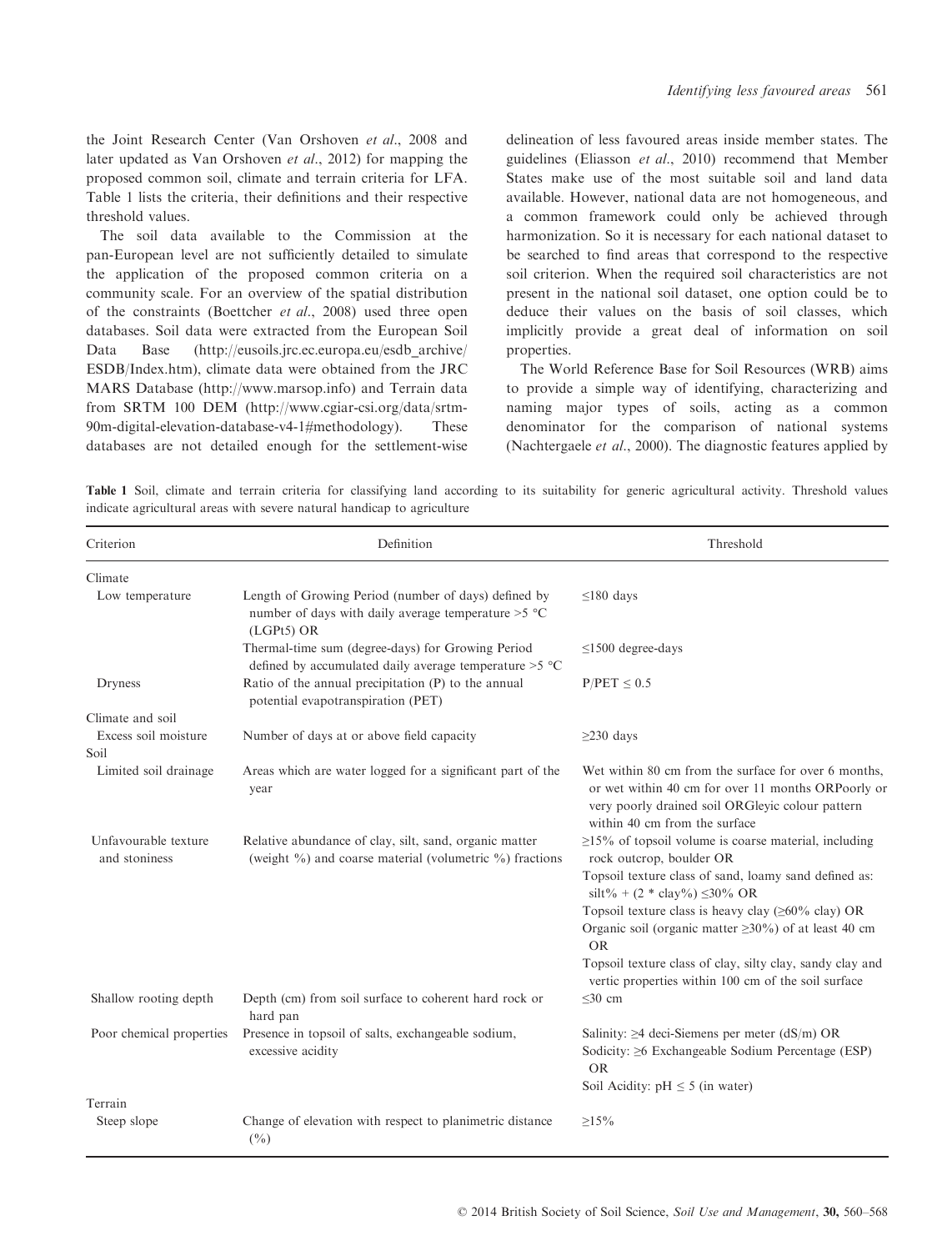the Joint Research Center (Van Orshoven et al., 2008 and later updated as Van Orshoven et al., 2012) for mapping the proposed common soil, climate and terrain criteria for LFA. Table 1 lists the criteria, their definitions and their respective threshold values.

The soil data available to the Commission at the pan-European level are not sufficiently detailed to simulate the application of the proposed common criteria on a community scale. For an overview of the spatial distribution of the constraints (Boettcher et al., 2008) used three open databases. Soil data were extracted from the European Soil Data Base (http://eusoils.jrc.ec.europa.eu/esdb\_archive/ ESDB/Index.htm), climate data were obtained from the JRC MARS Database (http://www.marsop.info) and Terrain data from SRTM 100 DEM (http://www.cgiar-csi.org/data/srtm-90m-digital-elevation-database-v4-1#methodology). These databases are not detailed enough for the settlement-wise

delineation of less favoured areas inside member states. The guidelines (Eliasson et al., 2010) recommend that Member States make use of the most suitable soil and land data available. However, national data are not homogeneous, and a common framework could only be achieved through harmonization. So it is necessary for each national dataset to be searched to find areas that correspond to the respective soil criterion. When the required soil characteristics are not present in the national soil dataset, one option could be to deduce their values on the basis of soil classes, which implicitly provide a great deal of information on soil properties.

The World Reference Base for Soil Resources (WRB) aims to provide a simple way of identifying, characterizing and naming major types of soils, acting as a common denominator for the comparison of national systems (Nachtergaele et al., 2000). The diagnostic features applied by

Table 1 Soil, climate and terrain criteria for classifying land according to its suitability for generic agricultural activity. Threshold values indicate agricultural areas with severe natural handicap to agriculture

| Criterion                             | Definition                                                                                                                    | Threshold                                                                                                                                                                                        |
|---------------------------------------|-------------------------------------------------------------------------------------------------------------------------------|--------------------------------------------------------------------------------------------------------------------------------------------------------------------------------------------------|
| Climate                               |                                                                                                                               |                                                                                                                                                                                                  |
| Low temperature                       | Length of Growing Period (number of days) defined by<br>number of days with daily average temperature $>5$ °C<br>$(LGPt5)$ OR | $\leq$ 180 days                                                                                                                                                                                  |
|                                       | Thermal-time sum (degree-days) for Growing Period<br>defined by accumulated daily average temperature $>5$ °C                 | $\leq$ 1500 degree-days                                                                                                                                                                          |
| <b>Dryness</b>                        | Ratio of the annual precipitation (P) to the annual<br>potential evapotranspiration (PET)                                     | $P/PET \leq 0.5$                                                                                                                                                                                 |
| Climate and soil                      |                                                                                                                               |                                                                                                                                                                                                  |
| Excess soil moisture<br>Soil          | Number of days at or above field capacity                                                                                     | $\geq$ 230 days                                                                                                                                                                                  |
| Limited soil drainage                 | Areas which are water logged for a significant part of the<br>year                                                            | Wet within 80 cm from the surface for over 6 months,<br>or wet within 40 cm for over 11 months ORPoorly or<br>very poorly drained soil ORGleyic colour pattern<br>within 40 cm from the surface  |
| Unfavourable texture<br>and stoniness | Relative abundance of clay, silt, sand, organic matter<br>(weight $\%$ ) and coarse material (volumetric $\%$ ) fractions     | $\geq$ 15% of topsoil volume is coarse material, including<br>rock outcrop, boulder OR<br>Topsoil texture class of sand, loamy sand defined as:<br>$silt\% + (2 * clay\%) \leq 30\% \text{ OR }$ |
|                                       |                                                                                                                               | Topsoil texture class is heavy clay $(\geq 60\%$ clay) OR<br>Organic soil (organic matter $\geq 30\%$ ) of at least 40 cm<br><b>OR</b>                                                           |
|                                       |                                                                                                                               | Topsoil texture class of clay, silty clay, sandy clay and<br>vertic properties within 100 cm of the soil surface                                                                                 |
| Shallow rooting depth                 | Depth (cm) from soil surface to coherent hard rock or<br>hard pan                                                             | $\leq$ 30 cm                                                                                                                                                                                     |
| Poor chemical properties              | Presence in topsoil of salts, exchangeable sodium,<br>excessive acidity                                                       | Salinity: $\geq$ 4 deci-Siemens per meter (dS/m) OR<br>Sodicity: ≥6 Exchangeable Sodium Percentage (ESP)<br><b>OR</b>                                                                            |
|                                       |                                                                                                                               | Soil Acidity: $pH \le 5$ (in water)                                                                                                                                                              |
| Terrain                               |                                                                                                                               |                                                                                                                                                                                                  |
| Steep slope                           | Change of elevation with respect to planimetric distance<br>$(\frac{0}{0})$                                                   | $\geq 15\%$                                                                                                                                                                                      |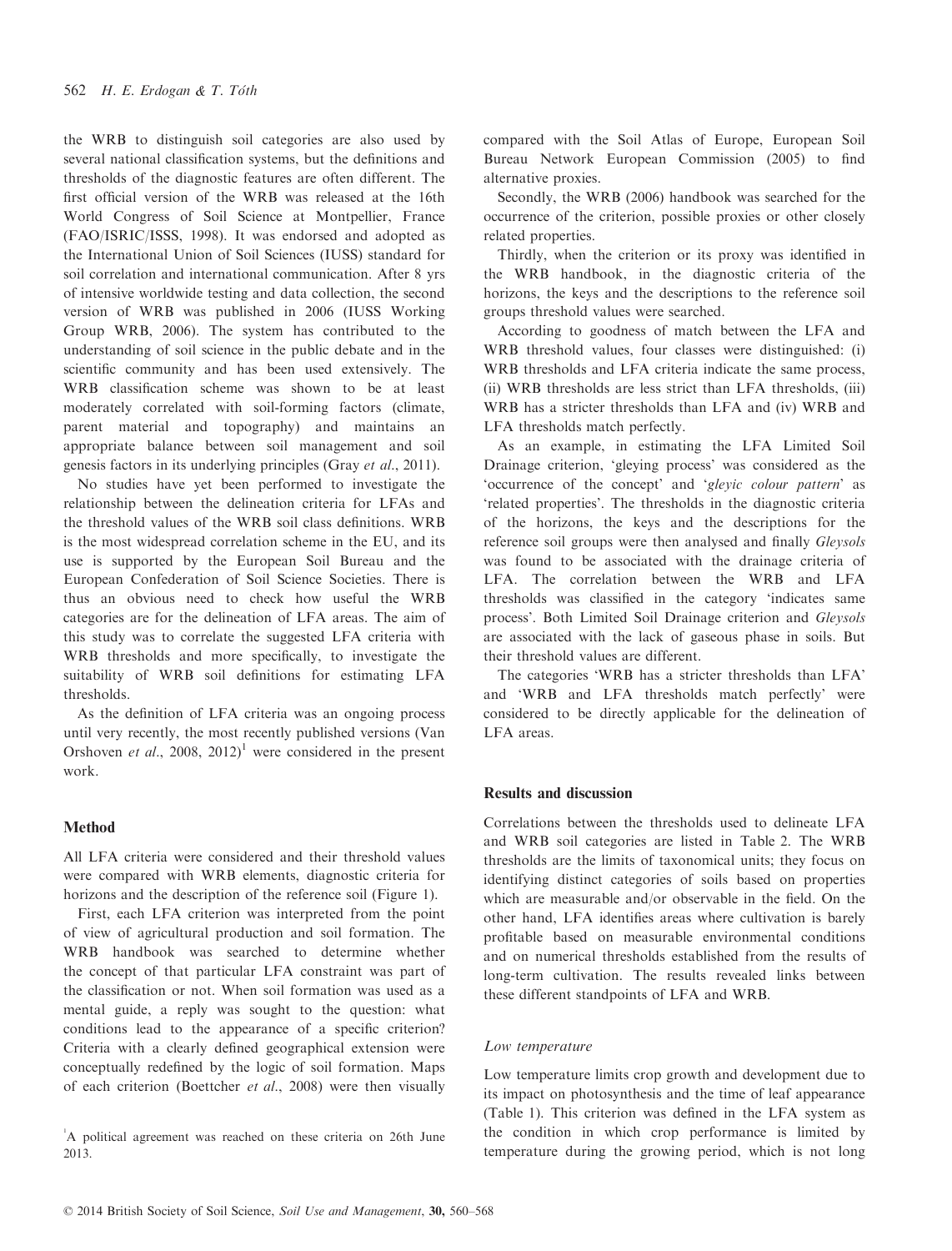the WRB to distinguish soil categories are also used by several national classification systems, but the definitions and thresholds of the diagnostic features are often different. The first official version of the WRB was released at the 16th World Congress of Soil Science at Montpellier, France (FAO/ISRIC/ISSS, 1998). It was endorsed and adopted as the International Union of Soil Sciences (IUSS) standard for soil correlation and international communication. After 8 yrs of intensive worldwide testing and data collection, the second version of WRB was published in 2006 (IUSS Working Group WRB, 2006). The system has contributed to the understanding of soil science in the public debate and in the scientific community and has been used extensively. The WRB classification scheme was shown to be at least moderately correlated with soil-forming factors (climate, parent material and topography) and maintains an appropriate balance between soil management and soil genesis factors in its underlying principles (Gray et al., 2011).

No studies have yet been performed to investigate the relationship between the delineation criteria for LFAs and the threshold values of the WRB soil class definitions. WRB is the most widespread correlation scheme in the EU, and its use is supported by the European Soil Bureau and the European Confederation of Soil Science Societies. There is thus an obvious need to check how useful the WRB categories are for the delineation of LFA areas. The aim of this study was to correlate the suggested LFA criteria with WRB thresholds and more specifically, to investigate the suitability of WRB soil definitions for estimating LFA thresholds.

As the definition of LFA criteria was an ongoing process until very recently, the most recently published versions (Van Orshoven et al., 2008, 2012)<sup>1</sup> were considered in the present work.

#### Method

All LFA criteria were considered and their threshold values were compared with WRB elements, diagnostic criteria for horizons and the description of the reference soil (Figure 1).

First, each LFA criterion was interpreted from the point of view of agricultural production and soil formation. The WRB handbook was searched to determine whether the concept of that particular LFA constraint was part of the classification or not. When soil formation was used as a mental guide, a reply was sought to the question: what conditions lead to the appearance of a specific criterion? Criteria with a clearly defined geographical extension were conceptually redefined by the logic of soil formation. Maps of each criterion (Boettcher et al., 2008) were then visually

1 A political agreement was reached on these criteria on 26th June 2013.

compared with the Soil Atlas of Europe, European Soil Bureau Network European Commission (2005) to find alternative proxies.

Secondly, the WRB (2006) handbook was searched for the occurrence of the criterion, possible proxies or other closely related properties.

Thirdly, when the criterion or its proxy was identified in the WRB handbook, in the diagnostic criteria of the horizons, the keys and the descriptions to the reference soil groups threshold values were searched.

According to goodness of match between the LFA and WRB threshold values, four classes were distinguished: (i) WRB thresholds and LFA criteria indicate the same process, (ii) WRB thresholds are less strict than LFA thresholds, (iii) WRB has a stricter thresholds than LFA and (iv) WRB and LFA thresholds match perfectly.

As an example, in estimating the LFA Limited Soil Drainage criterion, 'gleying process' was considered as the 'occurrence of the concept' and 'gleyic colour pattern' as 'related properties'. The thresholds in the diagnostic criteria of the horizons, the keys and the descriptions for the reference soil groups were then analysed and finally Gleysols was found to be associated with the drainage criteria of LFA. The correlation between the WRB and LFA thresholds was classified in the category 'indicates same process'. Both Limited Soil Drainage criterion and Gleysols are associated with the lack of gaseous phase in soils. But their threshold values are different.

The categories 'WRB has a stricter thresholds than LFA' and 'WRB and LFA thresholds match perfectly' were considered to be directly applicable for the delineation of LFA areas.

### Results and discussion

Correlations between the thresholds used to delineate LFA and WRB soil categories are listed in Table 2. The WRB thresholds are the limits of taxonomical units; they focus on identifying distinct categories of soils based on properties which are measurable and/or observable in the field. On the other hand, LFA identifies areas where cultivation is barely profitable based on measurable environmental conditions and on numerical thresholds established from the results of long-term cultivation. The results revealed links between these different standpoints of LFA and WRB.

#### Low temperature

Low temperature limits crop growth and development due to its impact on photosynthesis and the time of leaf appearance (Table 1). This criterion was defined in the LFA system as the condition in which crop performance is limited by temperature during the growing period, which is not long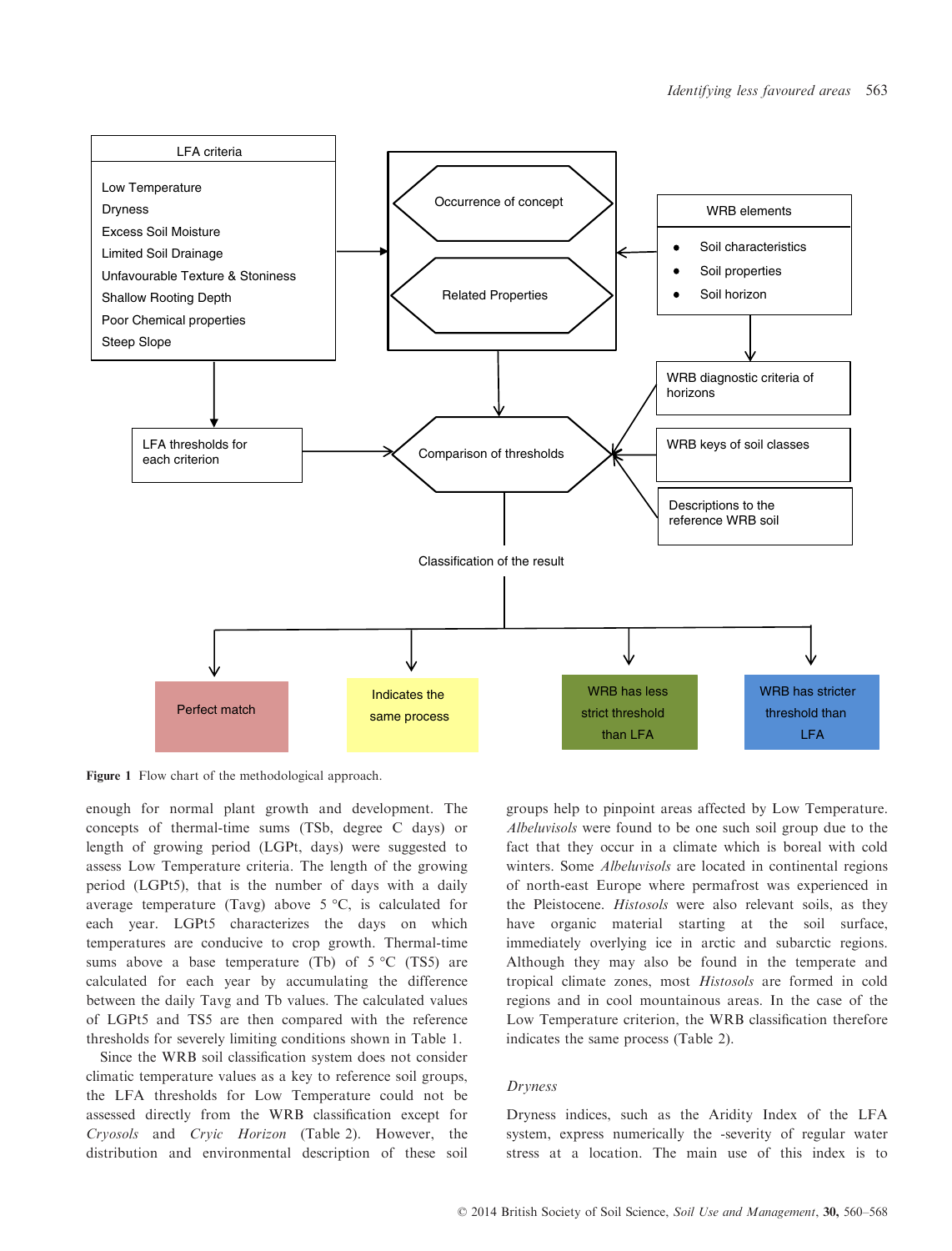

Figure 1 Flow chart of the methodological approach.

enough for normal plant growth and development. The concepts of thermal-time sums (TSb, degree C days) or length of growing period (LGPt, days) were suggested to assess Low Temperature criteria. The length of the growing period (LGPt5), that is the number of days with a daily average temperature (Tavg) above 5 °C, is calculated for each year. LGPt5 characterizes the days on which temperatures are conducive to crop growth. Thermal-time sums above a base temperature (Tb) of  $5^{\circ}$ C (TS5) are calculated for each year by accumulating the difference between the daily Tavg and Tb values. The calculated values of LGPt5 and TS5 are then compared with the reference thresholds for severely limiting conditions shown in Table 1.

Since the WRB soil classification system does not consider climatic temperature values as a key to reference soil groups, the LFA thresholds for Low Temperature could not be assessed directly from the WRB classification except for Cryosols and Cryic Horizon (Table 2). However, the distribution and environmental description of these soil groups help to pinpoint areas affected by Low Temperature. Albeluvisols were found to be one such soil group due to the fact that they occur in a climate which is boreal with cold winters. Some Albeluvisols are located in continental regions of north-east Europe where permafrost was experienced in the Pleistocene. Histosols were also relevant soils, as they have organic material starting at the soil surface, immediately overlying ice in arctic and subarctic regions. Although they may also be found in the temperate and tropical climate zones, most Histosols are formed in cold regions and in cool mountainous areas. In the case of the Low Temperature criterion, the WRB classification therefore indicates the same process (Table 2).

#### Dryness

Dryness indices, such as the Aridity Index of the LFA system, express numerically the -severity of regular water stress at a location. The main use of this index is to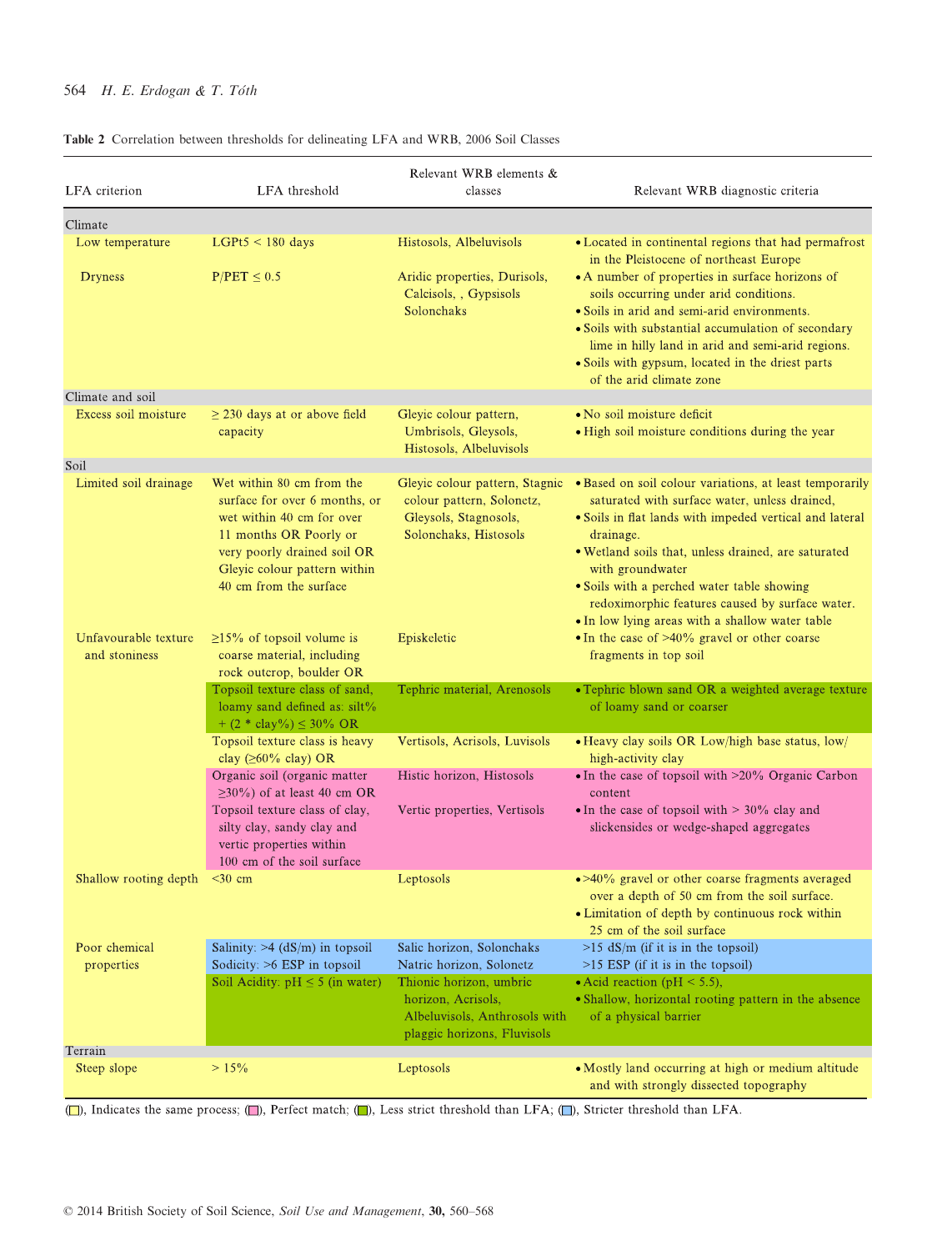# 564 H. E. Erdogan & T. Toth

| LFA criterion                         | LFA threshold                                                                                                                                                                                              | Relevant WRB elements &<br>classes                                                                            | Relevant WRB diagnostic criteria                                                                                                                                                                                                                                                                                                                                                                                                      |
|---------------------------------------|------------------------------------------------------------------------------------------------------------------------------------------------------------------------------------------------------------|---------------------------------------------------------------------------------------------------------------|---------------------------------------------------------------------------------------------------------------------------------------------------------------------------------------------------------------------------------------------------------------------------------------------------------------------------------------------------------------------------------------------------------------------------------------|
| Climate                               |                                                                                                                                                                                                            |                                                                                                               |                                                                                                                                                                                                                                                                                                                                                                                                                                       |
| Low temperature<br><b>Dryness</b>     | $LGPt5 < 180$ days<br>$P/PET \leq 0.5$                                                                                                                                                                     | Histosols, Albeluvisols<br>Aridic properties, Durisols,<br>Calcisols, Gypsisols<br>Solonchaks                 | • Located in continental regions that had permafrost<br>in the Pleistocene of northeast Europe<br>• A number of properties in surface horizons of<br>soils occurring under arid conditions.<br>· Soils in arid and semi-arid environments.<br>· Soils with substantial accumulation of secondary<br>lime in hilly land in arid and semi-arid regions.<br>· Soils with gypsum, located in the driest parts<br>of the arid climate zone |
| Climate and soil                      |                                                                                                                                                                                                            |                                                                                                               |                                                                                                                                                                                                                                                                                                                                                                                                                                       |
| Excess soil moisture                  | $\geq$ 230 days at or above field<br>capacity                                                                                                                                                              | Gleyic colour pattern,<br>Umbrisols, Gleysols,<br>Histosols, Albeluvisols                                     | · No soil moisture deficit<br>• High soil moisture conditions during the year                                                                                                                                                                                                                                                                                                                                                         |
| Soil                                  |                                                                                                                                                                                                            |                                                                                                               |                                                                                                                                                                                                                                                                                                                                                                                                                                       |
| Limited soil drainage                 | Wet within 80 cm from the<br>surface for over 6 months, or<br>wet within 40 cm for over<br>11 months OR Poorly or<br>very poorly drained soil OR<br>Gleyic colour pattern within<br>40 cm from the surface | Gleyic colour pattern, Stagnic<br>colour pattern, Solonetz,<br>Gleysols, Stagnosols,<br>Solonchaks, Histosols | · Based on soil colour variations, at least temporarily<br>saturated with surface water, unless drained,<br>· Soils in flat lands with impeded vertical and lateral<br>drainage.<br>· Wetland soils that, unless drained, are saturated<br>with groundwater<br>• Soils with a perched water table showing<br>redoximorphic features caused by surface water.<br>• In low lying areas with a shallow water table                       |
| Unfavourable texture<br>and stoniness | $\geq$ 15% of topsoil volume is<br>coarse material, including<br>rock outcrop, boulder OR                                                                                                                  | Episkeletic                                                                                                   | $\bullet$ In the case of $>40\%$ gravel or other coarse<br>fragments in top soil                                                                                                                                                                                                                                                                                                                                                      |
|                                       | Topsoil texture class of sand,<br>loamy sand defined as: silt%<br>+ $(2 * \text{clay})$ % $\leq 30\%$ OR                                                                                                   | Tephric material, Arenosols                                                                                   | • Tephric blown sand OR a weighted average texture<br>of loamy sand or coarser                                                                                                                                                                                                                                                                                                                                                        |
|                                       | Topsoil texture class is heavy<br>clay $(\geq 60\%$ clay) OR<br>Organic soil (organic matter<br>$\geq$ 30%) of at least 40 cm OR                                                                           | Vertisols, Acrisols, Luvisols<br>Histic horizon, Histosols                                                    | • Heavy clay soils OR Low/high base status, low/<br>high-activity clay<br>$\bullet$ In the case of topsoil with $>20\%$ Organic Carbon<br>content                                                                                                                                                                                                                                                                                     |
|                                       | Topsoil texture class of clay,<br>silty clay, sandy clay and<br>vertic properties within<br>100 cm of the soil surface                                                                                     | Vertic properties, Vertisols                                                                                  | • In the case of topsoil with $> 30\%$ clay and<br>slickensides or wedge-shaped aggregates                                                                                                                                                                                                                                                                                                                                            |
| Shallow rooting depth <30 cm          |                                                                                                                                                                                                            | Leptosols                                                                                                     | •>40% gravel or other coarse fragments averaged<br>over a depth of 50 cm from the soil surface.<br>• Limitation of depth by continuous rock within<br>25 cm of the soil surface                                                                                                                                                                                                                                                       |
| Poor chemical<br>properties           | Salinity: $>4$ (dS/m) in topsoil<br>Sodicity: >6 ESP in topsoil                                                                                                                                            | Salic horizon, Solonchaks<br>Natric horizon, Solonetz                                                         | $>15$ dS/m (if it is in the topsoil)<br>$>15$ ESP (if it is in the topsoil)                                                                                                                                                                                                                                                                                                                                                           |
|                                       | Soil Acidity: $pH \le 5$ (in water)                                                                                                                                                                        | Thionic horizon, umbric<br>horizon, Acrisols,<br>Albeluvisols, Anthrosols with<br>plaggic horizons, Fluvisols | • Acid reaction (pH $\le$ 5.5),<br>• Shallow, horizontal rooting pattern in the absence<br>of a physical barrier                                                                                                                                                                                                                                                                                                                      |
| Terrain                               |                                                                                                                                                                                                            |                                                                                                               |                                                                                                                                                                                                                                                                                                                                                                                                                                       |
| Steep slope                           | $> 15\%$                                                                                                                                                                                                   | Leptosols                                                                                                     | • Mostly land occurring at high or medium altitude<br>and with strongly dissected topography                                                                                                                                                                                                                                                                                                                                          |

## Table 2 Correlation between thresholds for delineating LFA and WRB, 2006 Soil Classes

 $\boxed{\Box}$ ), Indicates the same process;  $\boxed{\Box}$ ), Perfect match;  $\boxed{\Box}$ ), Less strict threshold than LFA;  $\boxed{\Box}$ ), Stricter threshold than LFA.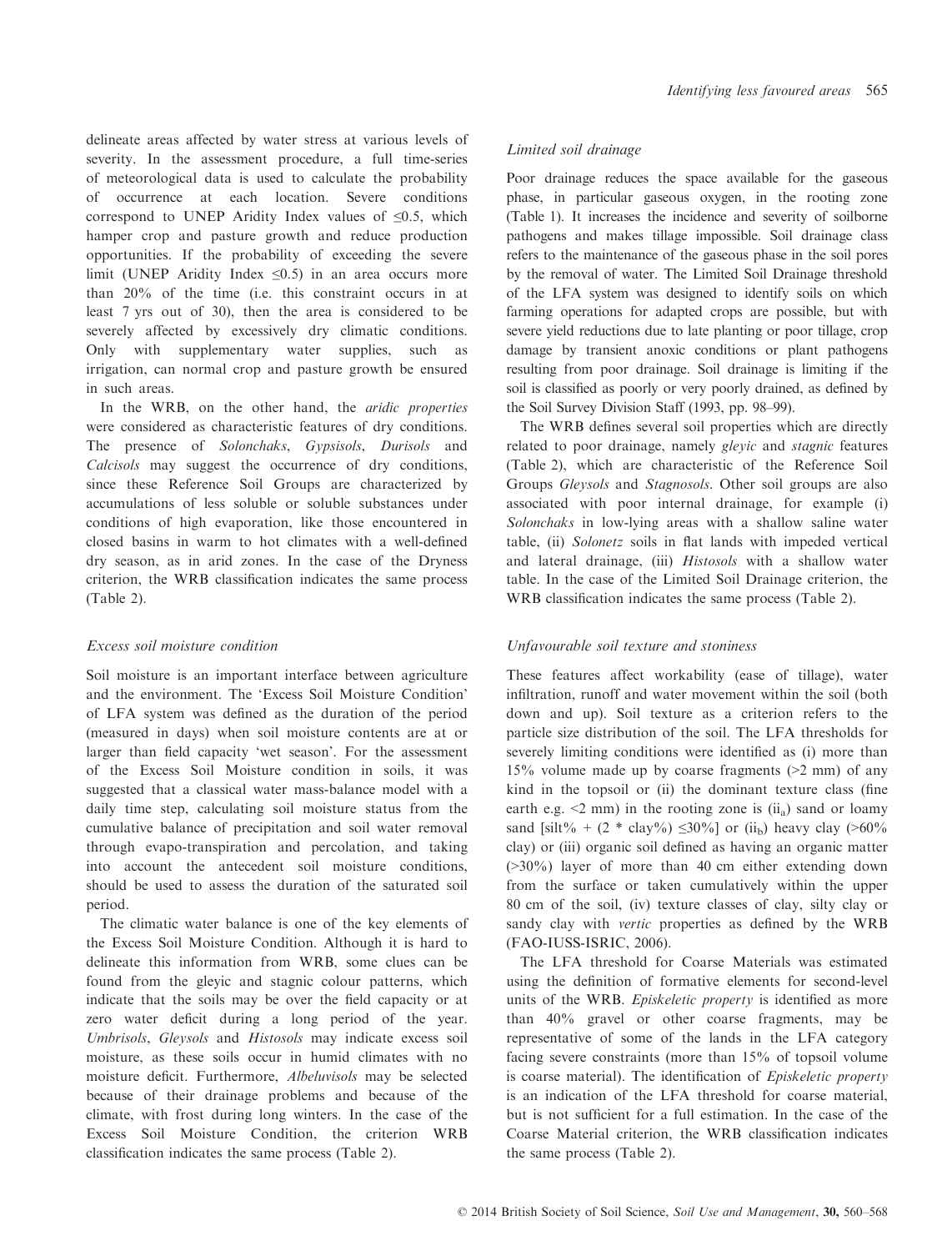delineate areas affected by water stress at various levels of severity. In the assessment procedure, a full time-series of meteorological data is used to calculate the probability of occurrence at each location. Severe conditions correspond to UNEP Aridity Index values of  $\leq 0.5$ , which hamper crop and pasture growth and reduce production opportunities. If the probability of exceeding the severe limit (UNEP Aridity Index  $\leq 0.5$ ) in an area occurs more than 20% of the time (i.e. this constraint occurs in at least 7 yrs out of 30), then the area is considered to be severely affected by excessively dry climatic conditions. Only with supplementary water supplies, such as irrigation, can normal crop and pasture growth be ensured in such areas.

In the WRB, on the other hand, the aridic properties were considered as characteristic features of dry conditions. The presence of Solonchaks, Gypsisols, Durisols and Calcisols may suggest the occurrence of dry conditions, since these Reference Soil Groups are characterized by accumulations of less soluble or soluble substances under conditions of high evaporation, like those encountered in closed basins in warm to hot climates with a well-defined dry season, as in arid zones. In the case of the Dryness criterion, the WRB classification indicates the same process (Table 2).

#### Excess soil moisture condition

Soil moisture is an important interface between agriculture and the environment. The 'Excess Soil Moisture Condition' of LFA system was defined as the duration of the period (measured in days) when soil moisture contents are at or larger than field capacity 'wet season'. For the assessment of the Excess Soil Moisture condition in soils, it was suggested that a classical water mass-balance model with a daily time step, calculating soil moisture status from the cumulative balance of precipitation and soil water removal through evapo-transpiration and percolation, and taking into account the antecedent soil moisture conditions, should be used to assess the duration of the saturated soil period.

The climatic water balance is one of the key elements of the Excess Soil Moisture Condition. Although it is hard to delineate this information from WRB, some clues can be found from the gleyic and stagnic colour patterns, which indicate that the soils may be over the field capacity or at zero water deficit during a long period of the year. Umbrisols, Gleysols and Histosols may indicate excess soil moisture, as these soils occur in humid climates with no moisture deficit. Furthermore, Albeluvisols may be selected because of their drainage problems and because of the climate, with frost during long winters. In the case of the Excess Soil Moisture Condition, the criterion WRB classification indicates the same process (Table 2).

#### Limited soil drainage

Poor drainage reduces the space available for the gaseous phase, in particular gaseous oxygen, in the rooting zone (Table 1). It increases the incidence and severity of soilborne pathogens and makes tillage impossible. Soil drainage class refers to the maintenance of the gaseous phase in the soil pores by the removal of water. The Limited Soil Drainage threshold of the LFA system was designed to identify soils on which farming operations for adapted crops are possible, but with severe yield reductions due to late planting or poor tillage, crop damage by transient anoxic conditions or plant pathogens resulting from poor drainage. Soil drainage is limiting if the soil is classified as poorly or very poorly drained, as defined by the Soil Survey Division Staff (1993, pp. 98–99).

The WRB defines several soil properties which are directly related to poor drainage, namely gleyic and stagnic features (Table 2), which are characteristic of the Reference Soil Groups Gleysols and Stagnosols. Other soil groups are also associated with poor internal drainage, for example (i) Solonchaks in low-lying areas with a shallow saline water table, (ii) Solonetz soils in flat lands with impeded vertical and lateral drainage, (iii) Histosols with a shallow water table. In the case of the Limited Soil Drainage criterion, the WRB classification indicates the same process (Table 2).

#### Unfavourable soil texture and stoniness

These features affect workability (ease of tillage), water infiltration, runoff and water movement within the soil (both down and up). Soil texture as a criterion refers to the particle size distribution of the soil. The LFA thresholds for severely limiting conditions were identified as (i) more than 15% volume made up by coarse fragments (>2 mm) of any kind in the topsoil or (ii) the dominant texture class (fine earth e.g.  $\leq$ 2 mm) in the rooting zone is (ii<sub>a</sub>) sand or loamy sand [silt% + (2 \* clay%)  $\leq 30\%$ ] or (ii<sub>b</sub>) heavy clay (>60%) clay) or (iii) organic soil defined as having an organic matter (>30%) layer of more than 40 cm either extending down from the surface or taken cumulatively within the upper 80 cm of the soil, (iv) texture classes of clay, silty clay or sandy clay with *vertic* properties as defined by the WRB (FAO-IUSS-ISRIC, 2006).

The LFA threshold for Coarse Materials was estimated using the definition of formative elements for second-level units of the WRB. Episkeletic property is identified as more than 40% gravel or other coarse fragments, may be representative of some of the lands in the LFA category facing severe constraints (more than 15% of topsoil volume is coarse material). The identification of Episkeletic property is an indication of the LFA threshold for coarse material, but is not sufficient for a full estimation. In the case of the Coarse Material criterion, the WRB classification indicates the same process (Table 2).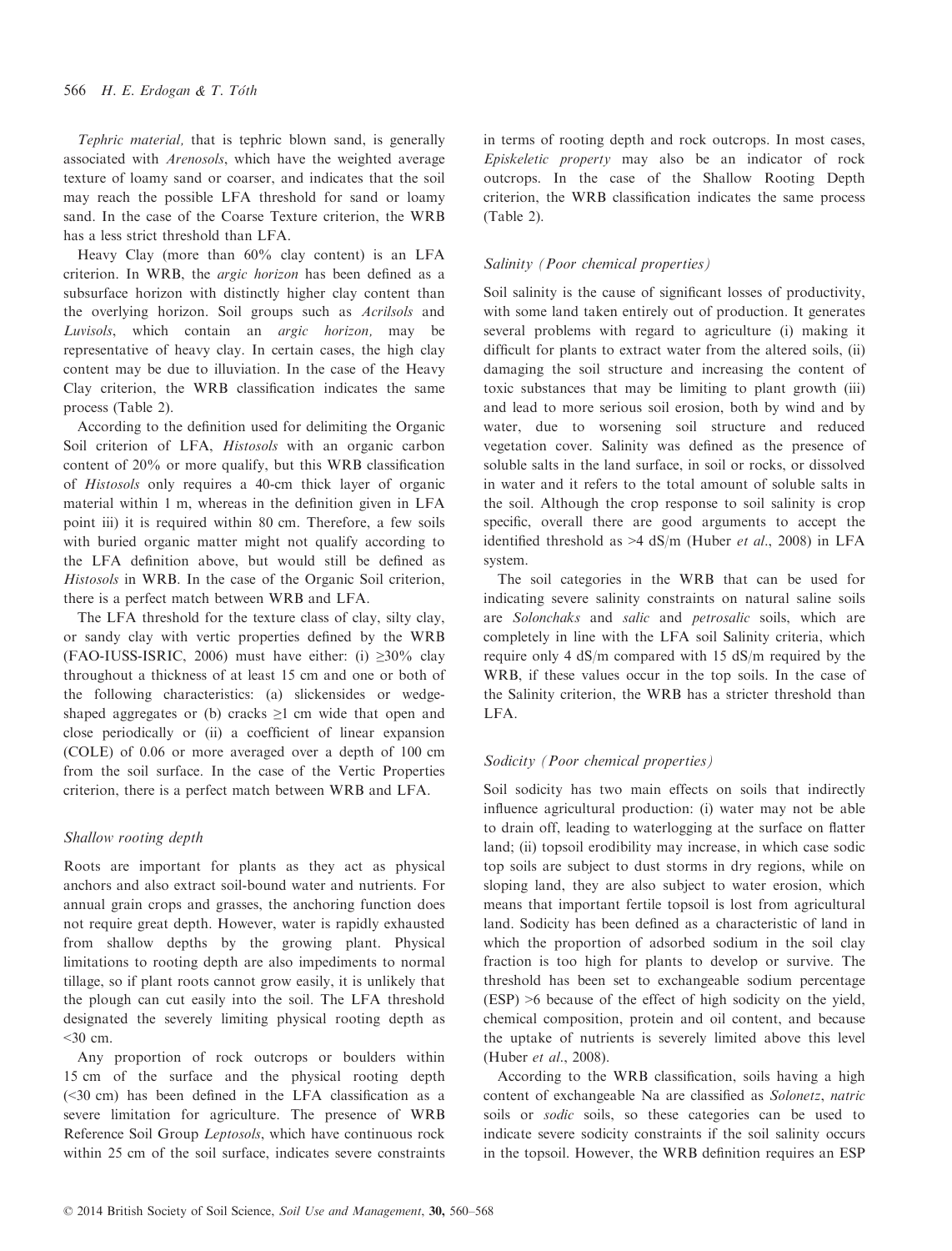Tephric material, that is tephric blown sand, is generally associated with Arenosols, which have the weighted average texture of loamy sand or coarser, and indicates that the soil may reach the possible LFA threshold for sand or loamy sand. In the case of the Coarse Texture criterion, the WRB has a less strict threshold than LFA.

Heavy Clay (more than 60% clay content) is an LFA criterion. In WRB, the argic horizon has been defined as a subsurface horizon with distinctly higher clay content than the overlying horizon. Soil groups such as Acrilsols and Luvisols, which contain an argic horizon, may be representative of heavy clay. In certain cases, the high clay content may be due to illuviation. In the case of the Heavy Clay criterion, the WRB classification indicates the same process (Table 2).

According to the definition used for delimiting the Organic Soil criterion of LFA, *Histosols* with an organic carbon content of 20% or more qualify, but this WRB classification of Histosols only requires a 40-cm thick layer of organic material within 1 m, whereas in the definition given in LFA point iii) it is required within 80 cm. Therefore, a few soils with buried organic matter might not qualify according to the LFA definition above, but would still be defined as Histosols in WRB. In the case of the Organic Soil criterion, there is a perfect match between WRB and LFA.

The LFA threshold for the texture class of clay, silty clay, or sandy clay with vertic properties defined by the WRB (FAO-IUSS-ISRIC, 2006) must have either: (i)  $\geq 30\%$  clay throughout a thickness of at least 15 cm and one or both of the following characteristics: (a) slickensides or wedgeshaped aggregates or (b) cracks  $\geq 1$  cm wide that open and close periodically or (ii) a coefficient of linear expansion (COLE) of 0.06 or more averaged over a depth of 100 cm from the soil surface. In the case of the Vertic Properties criterion, there is a perfect match between WRB and LFA.

#### Shallow rooting depth

Roots are important for plants as they act as physical anchors and also extract soil-bound water and nutrients. For annual grain crops and grasses, the anchoring function does not require great depth. However, water is rapidly exhausted from shallow depths by the growing plant. Physical limitations to rooting depth are also impediments to normal tillage, so if plant roots cannot grow easily, it is unlikely that the plough can cut easily into the soil. The LFA threshold designated the severely limiting physical rooting depth as <30 cm.

Any proportion of rock outcrops or boulders within 15 cm of the surface and the physical rooting depth (<30 cm) has been defined in the LFA classification as a severe limitation for agriculture. The presence of WRB Reference Soil Group Leptosols, which have continuous rock within 25 cm of the soil surface, indicates severe constraints in terms of rooting depth and rock outcrops. In most cases, Episkeletic property may also be an indicator of rock outcrops. In the case of the Shallow Rooting Depth criterion, the WRB classification indicates the same process (Table 2).

#### Salinity (Poor chemical properties)

Soil salinity is the cause of significant losses of productivity, with some land taken entirely out of production. It generates several problems with regard to agriculture (i) making it difficult for plants to extract water from the altered soils, (ii) damaging the soil structure and increasing the content of toxic substances that may be limiting to plant growth (iii) and lead to more serious soil erosion, both by wind and by water, due to worsening soil structure and reduced vegetation cover. Salinity was defined as the presence of soluble salts in the land surface, in soil or rocks, or dissolved in water and it refers to the total amount of soluble salts in the soil. Although the crop response to soil salinity is crop specific, overall there are good arguments to accept the identified threshold as  $>4$  dS/m (Huber *et al.*, 2008) in LFA system.

The soil categories in the WRB that can be used for indicating severe salinity constraints on natural saline soils are Solonchaks and salic and petrosalic soils, which are completely in line with the LFA soil Salinity criteria, which require only 4 dS/m compared with 15 dS/m required by the WRB, if these values occur in the top soils. In the case of the Salinity criterion, the WRB has a stricter threshold than LFA.

#### Sodicity (Poor chemical properties)

Soil sodicity has two main effects on soils that indirectly influence agricultural production: (i) water may not be able to drain off, leading to waterlogging at the surface on flatter land; (ii) topsoil erodibility may increase, in which case sodic top soils are subject to dust storms in dry regions, while on sloping land, they are also subject to water erosion, which means that important fertile topsoil is lost from agricultural land. Sodicity has been defined as a characteristic of land in which the proportion of adsorbed sodium in the soil clay fraction is too high for plants to develop or survive. The threshold has been set to exchangeable sodium percentage (ESP) >6 because of the effect of high sodicity on the yield, chemical composition, protein and oil content, and because the uptake of nutrients is severely limited above this level (Huber et al., 2008).

According to the WRB classification, soils having a high content of exchangeable Na are classified as Solonetz, natric soils or sodic soils, so these categories can be used to indicate severe sodicity constraints if the soil salinity occurs in the topsoil. However, the WRB definition requires an ESP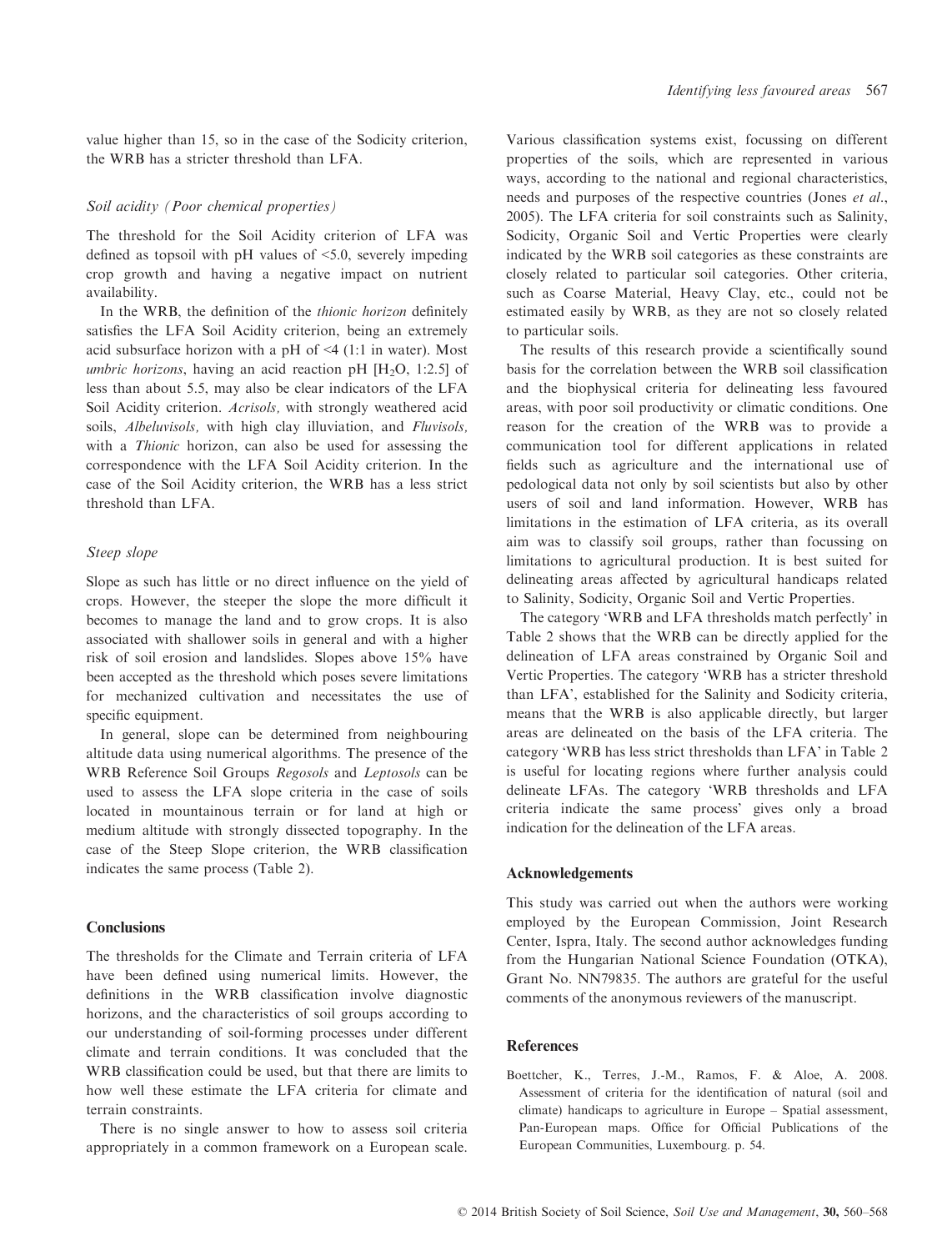value higher than 15, so in the case of the Sodicity criterion, the WRB has a stricter threshold than LFA.

#### Soil acidity (Poor chemical properties)

The threshold for the Soil Acidity criterion of LFA was defined as topsoil with pH values of <5.0, severely impeding crop growth and having a negative impact on nutrient availability.

In the WRB, the definition of the thionic horizon definitely satisfies the LFA Soil Acidity criterion, being an extremely acid subsurface horizon with a pH of <4 (1:1 in water). Most umbric horizons, having an acid reaction pH  $[H_2O, 1:2.5]$  of less than about 5.5, may also be clear indicators of the LFA Soil Acidity criterion. Acrisols, with strongly weathered acid soils, *Albeluvisols*, with high clay illuviation, and *Fluvisols*, with a Thionic horizon, can also be used for assessing the correspondence with the LFA Soil Acidity criterion. In the case of the Soil Acidity criterion, the WRB has a less strict threshold than LFA.

#### Steep slope

Slope as such has little or no direct influence on the yield of crops. However, the steeper the slope the more difficult it becomes to manage the land and to grow crops. It is also associated with shallower soils in general and with a higher risk of soil erosion and landslides. Slopes above 15% have been accepted as the threshold which poses severe limitations for mechanized cultivation and necessitates the use of specific equipment.

In general, slope can be determined from neighbouring altitude data using numerical algorithms. The presence of the WRB Reference Soil Groups Regosols and Leptosols can be used to assess the LFA slope criteria in the case of soils located in mountainous terrain or for land at high or medium altitude with strongly dissected topography. In the case of the Steep Slope criterion, the WRB classification indicates the same process (Table 2).

#### **Conclusions**

The thresholds for the Climate and Terrain criteria of LFA have been defined using numerical limits. However, the definitions in the WRB classification involve diagnostic horizons, and the characteristics of soil groups according to our understanding of soil-forming processes under different climate and terrain conditions. It was concluded that the WRB classification could be used, but that there are limits to how well these estimate the LFA criteria for climate and terrain constraints.

There is no single answer to how to assess soil criteria appropriately in a common framework on a European scale.

Various classification systems exist, focussing on different properties of the soils, which are represented in various ways, according to the national and regional characteristics, needs and purposes of the respective countries (Jones et al., 2005). The LFA criteria for soil constraints such as Salinity, Sodicity, Organic Soil and Vertic Properties were clearly indicated by the WRB soil categories as these constraints are closely related to particular soil categories. Other criteria, such as Coarse Material, Heavy Clay, etc., could not be estimated easily by WRB, as they are not so closely related to particular soils.

The results of this research provide a scientifically sound basis for the correlation between the WRB soil classification and the biophysical criteria for delineating less favoured areas, with poor soil productivity or climatic conditions. One reason for the creation of the WRB was to provide a communication tool for different applications in related fields such as agriculture and the international use of pedological data not only by soil scientists but also by other users of soil and land information. However, WRB has limitations in the estimation of LFA criteria, as its overall aim was to classify soil groups, rather than focussing on limitations to agricultural production. It is best suited for delineating areas affected by agricultural handicaps related to Salinity, Sodicity, Organic Soil and Vertic Properties.

The category 'WRB and LFA thresholds match perfectly' in Table 2 shows that the WRB can be directly applied for the delineation of LFA areas constrained by Organic Soil and Vertic Properties. The category 'WRB has a stricter threshold than LFA', established for the Salinity and Sodicity criteria, means that the WRB is also applicable directly, but larger areas are delineated on the basis of the LFA criteria. The category 'WRB has less strict thresholds than LFA' in Table 2 is useful for locating regions where further analysis could delineate LFAs. The category 'WRB thresholds and LFA criteria indicate the same process' gives only a broad indication for the delineation of the LFA areas.

#### Acknowledgements

This study was carried out when the authors were working employed by the European Commission, Joint Research Center, Ispra, Italy. The second author acknowledges funding from the Hungarian National Science Foundation (OTKA), Grant No. NN79835. The authors are grateful for the useful comments of the anonymous reviewers of the manuscript.

#### References

Boettcher, K., Terres, J.-M., Ramos, F. & Aloe, A. 2008. Assessment of criteria for the identification of natural (soil and climate) handicaps to agriculture in Europe – Spatial assessment, Pan-European maps. Office for Official Publications of the European Communities, Luxembourg. p. 54.